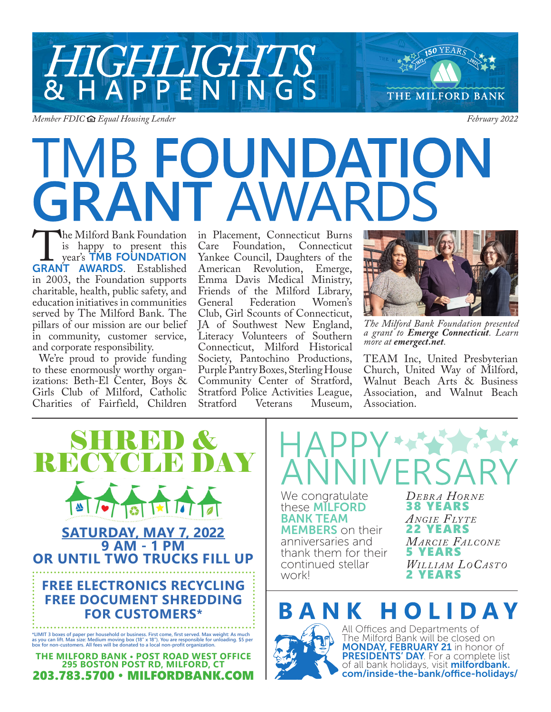

*Member FDIC Equal Housing Lender February 2022*

# THE MILFORD BANK

## TMB FOUNDATION **IT AWARD**

The Milford Bank Foundation<br>is happy to present this<br>year's TMB FOUNDATION<br>GRANT AWARDS. Established is happy to present this **vear's TMB FOUNDATION** GRANT AWARDS. Established in 2003, the Foundation supports charitable, health, public safety, and education initiatives in communities served by The Milford Bank. The pillars of our mission are our belief in community, customer service, and corporate responsibility.

We're proud to provide funding to these enormously worthy organizations: Beth-El Center, Boys & Girls Club of Milford, Catholic Charities of Fairfield, Children in Placement, Connecticut Burns Care Foundation, Connecticut Yankee Council, Daughters of the<br>American Revolution, Emerge, Revolution, Emerge, Emma Davis Medical Ministry, Friends of the Milford Library,<br>General Federation Women's General Federation Club, Girl Scounts of Connecticut, JA of Southwest New England, Literacy Volunteers of Southern Connecticut, Milford Historical Society, Pantochino Productions, Purple Pantry Boxes, Sterling House Community Center of Stratford, Stratford Police Activities League,<br>Stratford Veterans Museum, Museum,



*The Milford Bank Foundation presented a grant to Emerge Connecticut. Learn more at emergect.net.*

TEAM Inc, United Presbyterian Church, United Way of Milford, Walnut Beach Arts & Business Association, and Walnut Beach Association.



We congratulate these MILFORD BANK TEAM **MEMBERS** on their anniversaries and thank them for their continued stellar work! *De br a Hor n e* 38 YEARS *ANGIE FLYTE* 22 YEARS *MARCIE FALCONE* 5 YEARS *WILLIAM LOCASTO* 2 YEARS

#### ANK HOLIDAY



All Offices and Departments of The Milford Bank will be closed on **MONDAY, FEBRUARY 21** in honor of PRESIDENTS' DAY. For a complete list of all bank holidays, visit *milfordbank*. com/inside-the-bank/office-holidays/